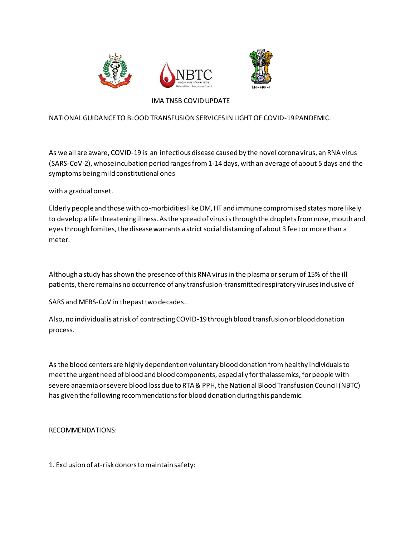



## IMA TNSB COVID UPDATE

## NATIONAL GUIDANCE TO BLOOD TRANSFUSION SERVICES IN LIGHT OF COVID-19 PANDEMIC.

As we all are aware, COVID-19 is an infectious disease caused by the novel corona virus, an RNA virus (SARS-CoV-2), whose incubation period ranges from 1-14 days, with an average of about 5 days and the symptoms being mild constitutional ones

with a gradual onset.

Elderly people and those with co-morbidities like DM, HT and immune compromised states more likely to develop a life threatening illness. As the spread of virus is through the droplets from nose, mouth and eyes through fomites, the disease warrants a strict social distancing of about 3 feet or more than a meter.

Although a study has shown the presence of this RNA virus in the plasma or serum of 15% of the ill patients, there remains no occurrence of any transfusion-transmitted respiratory viruses inclusive of

SARS and MERS-CoV in thepast two decades..

Also, no individual is at risk of contracting COVID-19 through blood transfusion or blood donation process.

As the blood centers are highly dependent on voluntary blood donation from healthy individuals to meet the urgent need of blood and blood components, especially for thalassemics, for people with severe anaemia or severe blood loss due to RTA & PPH, the National Blood Transfusion Council (NBTC) has given the following recommendations for blood donation during this pandemic.

RECOMMENDATIONS:

1. Exclusion of at-risk donors to maintain safety: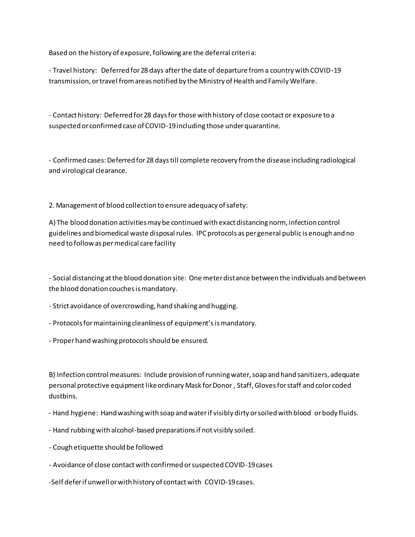Based on the history of exposure, following are the deferral criteria:

- Travel history: Deferred for 28 days after the date of departure from a country with COVID-19 transmission, or travel from areas notified by the Ministry of Health and Family Welfare.

- Contact history: Deferred for 28 days for those with history of close contact or exposure to a suspected or confirmed case of COVID-19 including those under quarantine.

- Confirmed cases: Deferred for 28 days till complete recovery from the disease including radiological and virological clearance.

2. Management of blood collection to ensure adequacy of safety:

A) The blood donation activities may be continued with exact distancing norm, infection control guidelines and biomedical waste disposal rules. IPC protocols as per general public is enough and no need to follow as per medical care facility

- Social distancing at the blood donation site: One meter distance between the individuals and between the blood donation couches is mandatory.

- Strict avoidance of overcrowding, hand shaking and hugging.
- Protocols for maintaining cleanliness of equipment's is mandatory.
- Proper hand washing protocols should be ensured.

B) Infection control measures: Include provision of running water, soap and hand sanitizers, adequate personal protective equipment like ordinary Mask for Donor, Staff, Gloves for staff and color coded dustbins.

- Hand hygiene: Hand washing with soap and water if visibly dirty or soiled with blood or body fluids.
- Hand rubbing with alcohol-based preparations if not visibly soiled.
- Cough etiquette should be followed
- Avoidance of close contact with confirmed or suspected COVID-19 cases
- -Self defer if unwell or with history of contact with COVID-19 cases.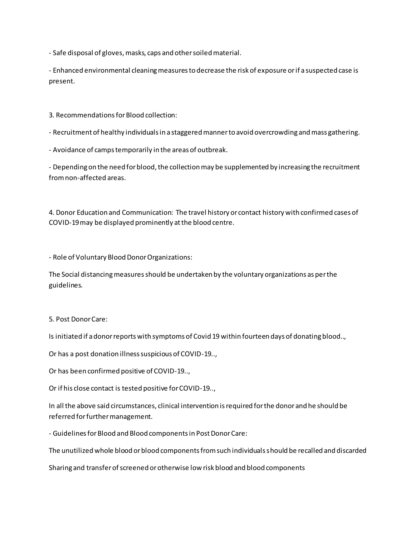- Safe disposal of gloves, masks, caps and other soiled material.

- Enhanced environmental cleaning measures to decrease the risk of exposure or if a suspected case is present.

3. Recommendations for Blood collection:

- Recruitment of healthy individuals in a staggered manner to avoid overcrowding and mass gathering.

- Avoidance of camps temporarily in the areas of outbreak.

- Depending on the need for blood, the collection may be supplemented by increasing the recruitment from non-affected areas.

4. Donor Education and Communication: The travel history or contact history with confirmed cases of COVID-19 may be displayed prominently at the blood centre.

- Role of Voluntary Blood Donor Organizations:

The Social distancing measures should be undertaken by the voluntary organizations as per the guidelines.

5. Post Donor Care:

Is initiated if a donor reports with symptoms of Covid 19 within fourteen days of donating blood..,

Or has a post donation illness suspicious of COVID-19..,

Or has been confirmed positive of COVID-19..,

Or if his close contact is tested positive for COVID-19..,

In all the above said circumstances, clinical intervention is required for the donor and he should be referred for further management.

- Guidelines for Blood and Blood components in Post Donor Care:

The unutilized whole blood or blood components from such individuals should be recalled and discarded

Sharing and transfer of screened or otherwise low risk blood and blood components